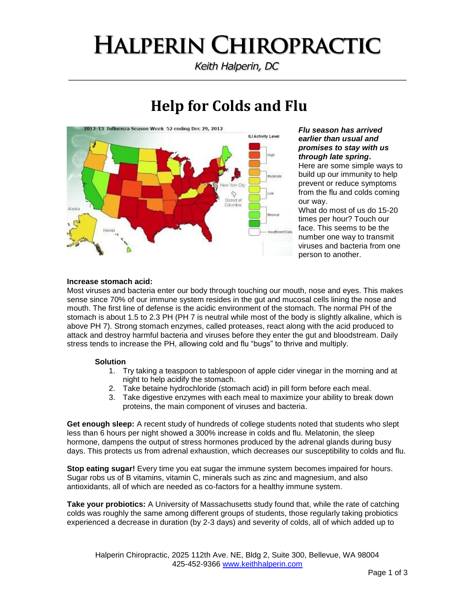### **HALPERIN CHIROPRACTIC**

Keith Halperin, DC

### **Help for Colds and Flu**



*Flu season has arrived earlier than usual and promises to stay with us through late spring***.**  Here are some simple ways to build up our immunity to help prevent or reduce symptoms from the flu and colds coming our way.

What do most of us do 15-20 times per hour? Touch our face. This seems to be the number one way to transmit viruses and bacteria from one person to another.

### **Increase stomach acid:**

Most viruses and bacteria enter our body through touching our mouth, nose and eyes. This makes sense since 70% of our immune system resides in the gut and mucosal cells lining the nose and mouth. The first line of defense is the acidic environment of the stomach. The normal PH of the stomach is about 1.5 to 2.3 PH (PH 7 is neutral while most of the body is slightly alkaline, which is above PH 7). Strong stomach enzymes, called proteases, react along with the acid produced to attack and destroy harmful bacteria and viruses before they enter the gut and bloodstream. Daily stress tends to increase the PH, allowing cold and flu "bugs" to thrive and multiply.

### **Solution**

- 1. Try taking a teaspoon to tablespoon of apple cider vinegar in the morning and at night to help acidify the stomach.
- 2. Take betaine hydrochloride (stomach acid) in pill form before each meal.
- 3. Take digestive enzymes with each meal to maximize your ability to break down proteins, the main component of viruses and bacteria.

**Get enough sleep:** A recent study of hundreds of college students noted that students who slept less than 6 hours per night showed a 300% increase in colds and flu. Melatonin, the sleep hormone, dampens the output of stress hormones produced by the adrenal glands during busy days. This protects us from adrenal exhaustion, which decreases our susceptibility to colds and flu.

**Stop eating sugar!** Every time you eat sugar the immune system becomes impaired for hours. Sugar robs us of B vitamins, vitamin C, minerals such as zinc and magnesium, and also antioxidants, all of which are needed as co-factors for a healthy immune system.

**Take your probiotics:** A University of Massachusetts study found that, while the rate of catching colds was roughly the same among different groups of students, those regularly taking probiotics experienced a decrease in duration (by 2-3 days) and severity of colds, all of which added up to

Halperin Chiropractic, 2025 112th Ave. NE, Bldg 2, Suite 300, Bellevue, WA 98004 425-452-9366 www.keithhalperin.com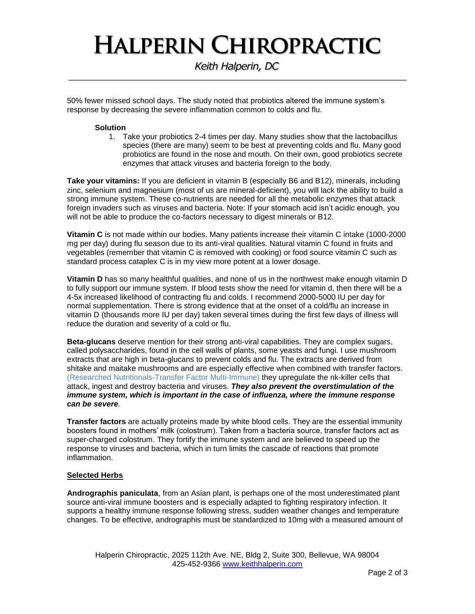## **HALPERIN CHIROPRACTIC**

Keith Halperin, DC

50% fewer missed school days. The study noted that probiotics altered the immune system's response by decreasing the severe inflammation common to colds and flu.

#### **Solution**

1. Take your probiotics 2-4 times per day. Many studies show that the lactobacillus species (there are many) seem to be best at preventing colds and flu. Many good probiotics are found in the nose and mouth. On their own, good probiotics secrete enzymes that attack viruses and bacteria foreign to the body.

**Take your vitamins:** If you are deficient in vitamin B (especially B6 and B12), minerals, including zinc, selenium and magnesium (most of us are mineral-deficient), you will lack the ability to build a strong immune system. These co-nutrients are needed for all the metabolic enzymes that attack foreign invaders such as viruses and bacteria. Note: If your stomach acid isn't acidic enough, you will not be able to produce the co-factors necessary to digest minerals or B12.

**Vitamin C** is not made within our bodies. Many patients increase their vitamin C intake (1000-2000 mg per day) during flu season due to its anti-viral qualities. Natural vitamin C found in fruits and vegetables (remember that vitamin C is removed with cooking) or food source vitamin C such as standard process cataplex C is in my view more potent at a lower dosage.

**Vitamin D** has so many healthful qualities, and none of us in the northwest make enough vitamin D to fully support our immune system. If blood tests show the need for vitamin d, then there will be a 4-5x increased likelihood of contracting flu and colds. I recommend 2000-5000 IU per day for normal supplementation. There is strong evidence that at the onset of a cold/flu an increase in vitamin D (thousands more IU per day) taken several times during the first few days of illness will reduce the duration and severity of a cold or flu.

**Beta-glucans** deserve mention for their strong anti-viral capabilities. They are complex sugars, called polysaccharides, found in the cell walls of plants, some yeasts and fungi. I use mushroom extracts that are high in beta-glucans to prevent colds and flu. The extracts are derived from shitake and maitake mushrooms and are especially effective when combined with transfer factors. (Researched Nutritionals-Transfer Factor Multi-Immune) they upregulate the nk-killer cells that attack, ingest and destroy bacteria and viruses. *They also prevent the overstimulation of the immune system, which is important in the case of influenza, where the immune response can be severe.*

**Transfer factors** are actually proteins made by white blood cells. They are the essential immunity boosters found in mothers' milk (colostrum). Taken from a bacteria source, transfer factors act as super-charged colostrum. They fortify the immune system and are believed to speed up the response to viruses and bacteria, which in turn limits the cascade of reactions that promote inflammation.

### **Selected Herbs**

**Andrographis paniculata**, from an Asian plant, is perhaps one of the most underestimated plant source anti-viral immune boosters and is especially adapted to fighting respiratory infection. It supports a healthy immune response following stress, sudden weather changes and temperature changes. To be effective, andrographis must be standardized to 10mg with a measured amount of

Halperin Chiropractic, 2025 112th Ave. NE, Bldg 2, Suite 300, Bellevue, WA 98004 425-452-9366 www.keithhalperin.com